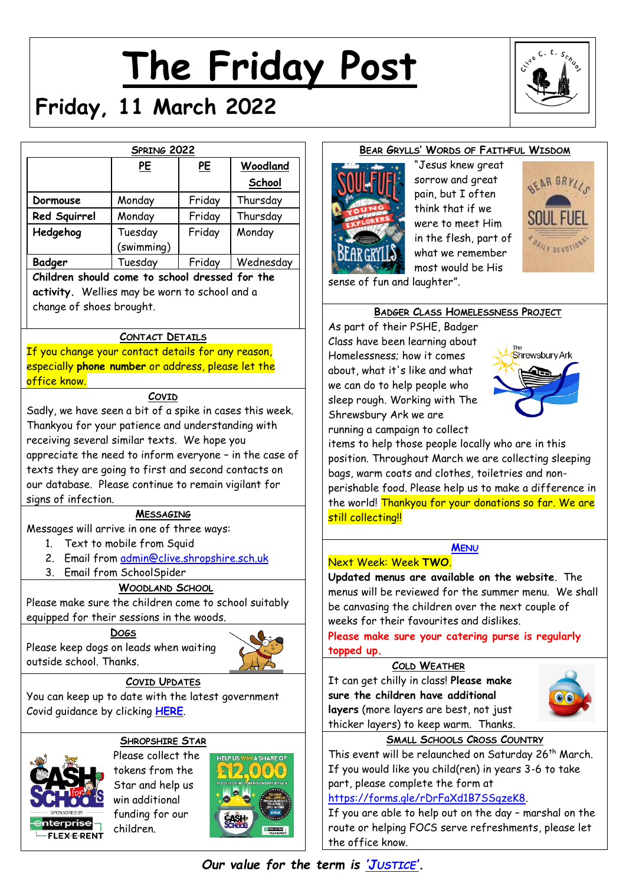# **The Friday Post**



# **Friday, 11 March 2022**

| SPRING 2022                                    |            |        |           |
|------------------------------------------------|------------|--------|-----------|
|                                                | PE         | PE     | Woodland  |
|                                                |            |        | School    |
| Dormouse                                       | Monday     | Friday | Thursday  |
| Red Squirrel                                   | Monday     | Friday | Thursday  |
| Hedgehog                                       | Tuesday    | Friday | Monday    |
|                                                | (swimming) |        |           |
| <b>Badger</b>                                  | Tuesday    | Friday | Wednesday |
| Children should come to school dressed for the |            |        |           |
| activity. Wellies may be worn to school and a  |            |        |           |
| change of shoes brought.                       |            |        |           |

# **CONTACT DETAILS**

If you change your contact details for any reason, especially **phone number** or address, please let the office know.

#### **COVID**

Sadly, we have seen a bit of a spike in cases this week. Thankyou for your patience and understanding with receiving several similar texts. We hope you appreciate the need to inform everyone – in the case of texts they are going to first and second contacts on our database. Please continue to remain vigilant for signs of infection.

#### **MESSAGING**

Messages will arrive in one of three ways:

- 1. Text to mobile from Squid
- 2. Email from [admin@clive.shropshire.sch.uk](mailto:admin@clive.shropshire.sch.uk)
- 3. Email from SchoolSpider

#### **WOODLAND SCHOOL**

Please make sure the children come to school suitably equipped for their sessions in the woods.

**DOGS**

Please keep dogs on leads when waiting outside school. Thanks.



#### **COVID UPDATES**

You can keep up to date with the latest government Covid guidance by clicking **[HERE](https://www.gov.uk/government/publications/what-parents-and-carers-need-to-know-about-early-years-providers-schools-and-colleges-during-the-coronavirus-covid-19-outbreak?utm_source=14%20December%202021%20C19&utm_medium=Daily%20Email%20C19&utm_campaign=DfE%20C19)**.

# **SHROPSHIRE STAR**



Please collect the tokens from the Star and help us win additional funding for our children.



# **BEAR GRYLLS' WORDS OF FAITHFUL WISDOM**



"Jesus knew great sorrow and great pain, but I often think that if we were to meet Him in the flesh, part of what we remember most would be His



sense of fun and laughter".

#### **BADGER CLASS HOMELESSNESS PROJECT**

As part of their PSHE, Badger Class have been learning about Homelessness; how it comes about, what it's like and what we can do to help people who sleep rough. Working with The Shrewsbury Ark we are running a campaign to collect



items to help those people locally who are in this position. Throughout March we are collecting sleeping bags, warm coats and clothes, toiletries and nonperishable food. Please help us to make a difference in the world! Thankyou for your donations so far. We are still collecting!!

# **M[ENU](http://www.clivecofeprimaryschool.co.uk/page/school-meals/26275)**

#### Next Week: Week **TWO**.

**Updated menus are available on the website**. The menus will be reviewed for the summer menu. We shall be canvasing the children over the next couple of weeks for their favourites and dislikes.

**Please make sure your catering purse is regularly topped up.**

#### **COLD WEATHER**

It can get chilly in class! **Please make sure the children have additional layers** (more layers are best, not just thicker layers) to keep warm. Thanks.



# **SMALL SCHOOLS CROSS COUNTRY**

This event will be relaunched on Saturday 26<sup>th</sup> March. If you would like you child(ren) in years 3-6 to take part, please complete the form at

#### [https://forms.gle/rDrFaXd1B7SSgzeK8.](https://forms.gle/rDrFaXd1B7SSgzeK8)

If you are able to help out on the day – marshal on the route or helping FOCS serve refreshments, please let the office know.

*Our value for the term is 'J[USTICE](http://www.clivecofeprimaryschool.co.uk/serve_file/5298783)'.*